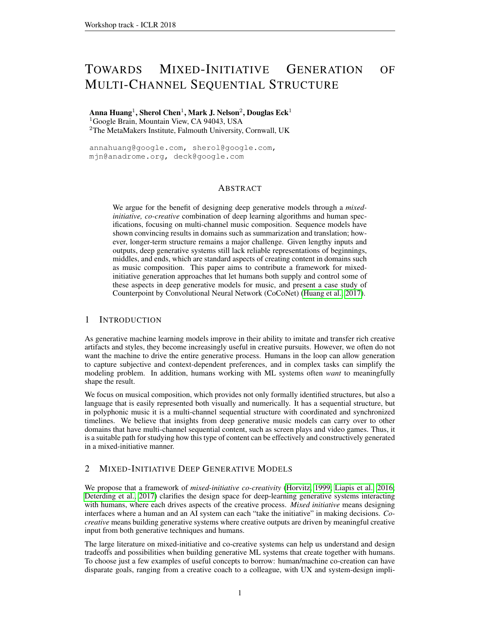# TOWARDS MIXED-INITIATIVE GENERATION OF MULTI-CHANNEL SEQUENTIAL STRUCTURE

Anna Huang $^1$ , Sherol Chen $^1$ , Mark J. Nelson $^2$ , Douglas Eck $^1$ <sup>1</sup>Google Brain, Mountain View, CA 94043, USA <sup>2</sup>The MetaMakers Institute, Falmouth University, Cornwall, UK

annahuang@google.com, sherol@google.com, mjn@anadrome.org, deck@google.com

## ABSTRACT

We argue for the benefit of designing deep generative models through a *mixedinitiative, co-creative* combination of deep learning algorithms and human specifications, focusing on multi-channel music composition. Sequence models have shown convincing results in domains such as summarization and translation; however, longer-term structure remains a major challenge. Given lengthy inputs and outputs, deep generative systems still lack reliable representations of beginnings, middles, and ends, which are standard aspects of creating content in domains such as music composition. This paper aims to contribute a framework for mixedinitiative generation approaches that let humans both supply and control some of these aspects in deep generative models for music, and present a case study of Counterpoint by Convolutional Neural Network (CoCoNet) [\(Huang et al., 2017\)](#page-3-0).

## 1 INTRODUCTION

As generative machine learning models improve in their ability to imitate and transfer rich creative artifacts and styles, they become increasingly useful in creative pursuits. However, we often do not want the machine to drive the entire generative process. Humans in the loop can allow generation to capture subjective and context-dependent preferences, and in complex tasks can simplify the modeling problem. In addition, humans working with ML systems often *want* to meaningfully shape the result.

We focus on musical composition, which provides not only formally identified structures, but also a language that is easily represented both visually and numerically. It has a sequential structure, but in polyphonic music it is a multi-channel sequential structure with coordinated and synchronized timelines. We believe that insights from deep generative music models can carry over to other domains that have multi-channel sequential content, such as screen plays and video games. Thus, it is a suitable path for studying how this type of content can be effectively and constructively generated in a mixed-initiative manner.

## 2 MIXED-INITIATIVE DEEP GENERATIVE MODELS

We propose that a framework of *mixed-initiative co-creativity* [\(Horvitz, 1999;](#page-3-1) [Liapis et al., 2016;](#page-3-2) [Deterding et al., 2017\)](#page-3-3) clarifies the design space for deep-learning generative systems interacting with humans, where each drives aspects of the creative process. *Mixed initiative* means designing interfaces where a human and an AI system can each "take the initiative" in making decisions. *Cocreative* means building generative systems where creative outputs are driven by meaningful creative input from both generative techniques and humans.

The large literature on mixed-initiative and co-creative systems can help us understand and design tradeoffs and possibilities when building generative ML systems that create together with humans. To choose just a few examples of useful concepts to borrow: human/machine co-creation can have disparate goals, ranging from a creative coach to a colleague, with UX and system-design impli-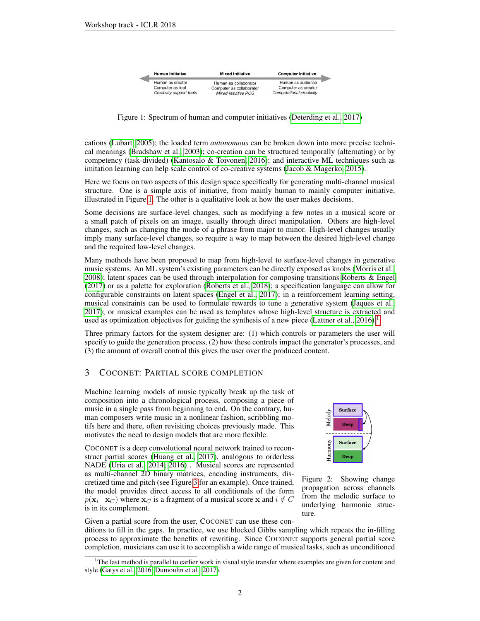<span id="page-1-0"></span>

| <b>Human Initiative</b>                                          | <b>Mixed Initiative</b>                                                   | <b>Computer Initiative</b>                                           |  |
|------------------------------------------------------------------|---------------------------------------------------------------------------|----------------------------------------------------------------------|--|
| Human as creator<br>Computer as tool<br>Creativity support tools | Human as collaborator<br>Computer as collaborator<br>Mixed-initiative PCG | Human as audience<br>Computer as creator<br>Computational creativity |  |

Figure 1: Spectrum of human and computer initiatives [\(Deterding et al., 2017\)](#page-3-3)

cations [\(Lubart, 2005\)](#page-3-4); the loaded term *autonomous* can be broken down into more precise technical meanings [\(Bradshaw et al., 2003\)](#page-3-5); co-creation can be structured temporally (alternating) or by competency (task-divided) [\(Kantosalo & Toivonen, 2016\)](#page-3-6); and interactive ML techniques such as imitation learning can help scale control of co-creative systems [\(Jacob & Magerko, 2015\)](#page-3-7).

Here we focus on two aspects of this design space specifically for generating multi-channel musical structure. One is a simple axis of initiative, from mainly human to mainly computer initiative, illustrated in Figure [1.](#page-1-0) The other is a qualitative look at how the user makes decisions.

Some decisions are surface-level changes, such as modifying a few notes in a musical score or a small patch of pixels on an image, usually through direct manipulation. Others are high-level changes, such as changing the mode of a phrase from major to minor. High-level changes usually imply many surface-level changes, so require a way to map between the desired high-level change and the required low-level changes.

Many methods have been proposed to map from high-level to surface-level changes in generative music systems. An ML system's existing parameters can be directly exposed as knobs [\(Morris et al.,](#page-3-8) [2008\)](#page-3-8); latent spaces can be used through interpolation for composing transitions [Roberts & Engel](#page-3-9) [\(2017\)](#page-3-9) or as a palette for exploration [\(Roberts et al., 2018\)](#page-4-0); a specification language can allow for configurable constraints on latent spaces [\(Engel et al., 2017\)](#page-3-10); in a reinforcement learning setting, musical constraints can be used to formulate rewards to tune a generative system [\(Jaques et al.,](#page-3-11) [2017\)](#page-3-11); or musical examples can be used as templates whose high-level structure is extracted and used as optimization objectives for guiding the synthesis of a new piece [\(Lattner et al., 2016\)](#page-3-12).<sup>[1](#page-1-1)</sup>

Three primary factors for the system designer are: (1) which controls or parameters the user will specify to guide the generation process, (2) how these controls impact the generator's processes, and (3) the amount of overall control this gives the user over the produced content.

#### 3 COCONET: PARTIAL SCORE COMPLETION

Machine learning models of music typically break up the task of composition into a chronological process, composing a piece of music in a single pass from beginning to end. On the contrary, human composers write music in a nonlinear fashion, scribbling motifs here and there, often revisiting choices previously made. This motivates the need to design models that are more flexible.

COCONET is a deep convolutional neural network trained to reconstruct partial scores [\(Huang et al., 2017\)](#page-3-0), analogous to orderless NADE [\(Uria et al., 2014;](#page-4-1) [2016\)](#page-4-2) . Musical scores are represented as multi-channel 2D binary matrices, encoding instruments, discretized time and pitch (see Figure [3](#page-2-0) for an example). Once trained, the model provides direct access to all conditionals of the form  $p(\mathbf{x}_i | \mathbf{x}_C)$  where  $\mathbf{x}_C$  is a fragment of a musical score x and  $i \notin C$ is in its complement.

<span id="page-1-2"></span>

Figure 2: Showing change propagation across channels from the melodic surface to underlying harmonic structure.

Given a partial score from the user, COCONET can use these conditions to fill in the gaps. In practice, we use blocked Gibbs sampling which repeats the in-filling process to approximate the benefits of rewriting. Since COCONET supports general partial score completion, musicians can use it to accomplish a wide range of musical tasks, such as unconditioned

<span id="page-1-1"></span> $1<sup>1</sup>$ The last method is parallel to earlier work in visual style transfer where examples are given for content and style [\(Gatys et al., 2016;](#page-3-13) [Dumoulin et al., 2017\)](#page-3-14).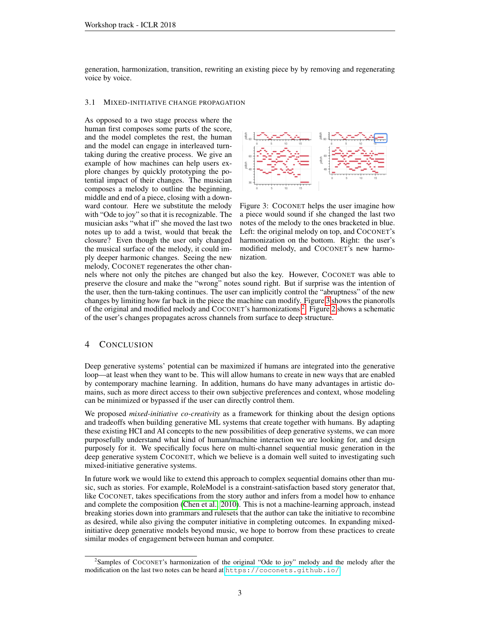generation, harmonization, transition, rewriting an existing piece by by removing and regenerating voice by voice.

#### 3.1 MIXED-INITIATIVE CHANGE PROPAGATION

As opposed to a two stage process where the human first composes some parts of the score, and the model completes the rest, the human and the model can engage in interleaved turntaking during the creative process. We give an example of how machines can help users explore changes by quickly prototyping the potential impact of their changes. The musician composes a melody to outline the beginning, middle and end of a piece, closing with a downward contour. Here we substitute the melody with "Ode to joy" so that it is recognizable. The musician asks "what if" she moved the last two notes up to add a twist, would that break the closure? Even though the user only changed the musical surface of the melody, it could imply deeper harmonic changes. Seeing the new melody, COCONET regenerates the other chan-

<span id="page-2-0"></span>

Figure 3: COCONET helps the user imagine how a piece would sound if she changed the last two notes of the melody to the ones bracketed in blue. Left: the original melody on top, and COCONET's harmonization on the bottom. Right: the user's modified melody, and COCONET's new harmonization.

nels where not only the pitches are changed but also the key. However, COCONET was able to preserve the closure and make the "wrong" notes sound right. But if surprise was the intention of the user, then the turn-taking continues. The user can implicitly control the "abruptness" of the new changes by limiting how far back in the piece the machine can modify. Figure [3](#page-2-0) shows the pianorolls of the original and modified melody and COCONET's harmonizations [2](#page-2-1) . Figure [2](#page-1-2) shows a schematic of the user's changes propagates across channels from surface to deep structure.

#### 4 CONCLUSION

Deep generative systems' potential can be maximized if humans are integrated into the generative loop—at least when they want to be. This will allow humans to create in new ways that are enabled by contemporary machine learning. In addition, humans do have many advantages in artistic domains, such as more direct access to their own subjective preferences and context, whose modeling can be minimized or bypassed if the user can directly control them.

We proposed *mixed-initiative co-creativity* as a framework for thinking about the design options and tradeoffs when building generative ML systems that create together with humans. By adapting these existing HCI and AI concepts to the new possibilities of deep generative systems, we can more purposefully understand what kind of human/machine interaction we are looking for, and design purposely for it. We specifically focus here on multi-channel sequential music generation in the deep generative system COCONET, which we believe is a domain well suited to investigating such mixed-initiative generative systems.

In future work we would like to extend this approach to complex sequential domains other than music, such as stories. For example, RoleModel is a constraint-satisfaction based story generator that, like COCONET, takes specifications from the story author and infers from a model how to enhance and complete the composition [\(Chen et al., 2010\)](#page-3-15). This is not a machine-learning approach, instead breaking stories down into grammars and rulesets that the author can take the initiative to recombine as desired, while also giving the computer initiative in completing outcomes. In expanding mixedinitiative deep generative models beyond music, we hope to borrow from these practices to create similar modes of engagement between human and computer.

<span id="page-2-1"></span><sup>2</sup> Samples of COCONET's harmonization of the original "Ode to joy" melody and the melody after the modification on the last two notes can be heard at <https://coconets.github.io/>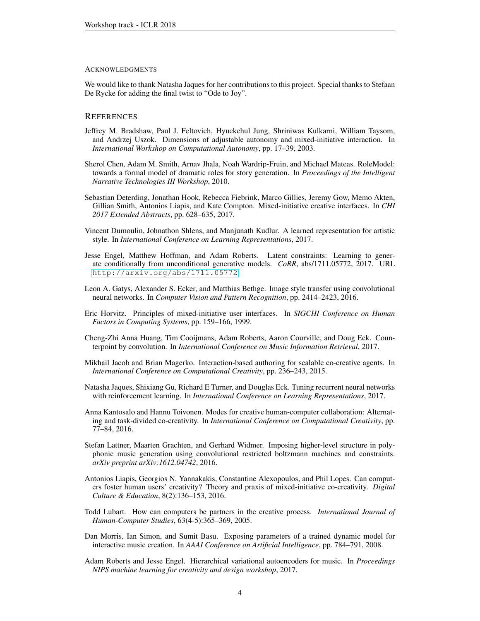#### ACKNOWLEDGMENTS

We would like to thank Natasha Jaques for her contributions to this project. Special thanks to Stefaan De Rycke for adding the final twist to "Ode to Joy".

#### **REFERENCES**

- <span id="page-3-5"></span>Jeffrey M. Bradshaw, Paul J. Feltovich, Hyuckchul Jung, Shriniwas Kulkarni, William Taysom, and Andrzej Uszok. Dimensions of adjustable autonomy and mixed-initiative interaction. In *International Workshop on Computational Autonomy*, pp. 17–39, 2003.
- <span id="page-3-15"></span>Sherol Chen, Adam M. Smith, Arnav Jhala, Noah Wardrip-Fruin, and Michael Mateas. RoleModel: towards a formal model of dramatic roles for story generation. In *Proceedings of the Intelligent Narrative Technologies III Workshop*, 2010.
- <span id="page-3-3"></span>Sebastian Deterding, Jonathan Hook, Rebecca Fiebrink, Marco Gillies, Jeremy Gow, Memo Akten, Gillian Smith, Antonios Liapis, and Kate Compton. Mixed-initiative creative interfaces. In *CHI 2017 Extended Abstracts*, pp. 628–635, 2017.
- <span id="page-3-14"></span>Vincent Dumoulin, Johnathon Shlens, and Manjunath Kudlur. A learned representation for artistic style. In *International Conference on Learning Representations*, 2017.
- <span id="page-3-10"></span>Jesse Engel, Matthew Hoffman, and Adam Roberts. Latent constraints: Learning to generate conditionally from unconditional generative models. *CoRR*, abs/1711.05772, 2017. URL <http://arxiv.org/abs/1711.05772>.
- <span id="page-3-13"></span>Leon A. Gatys, Alexander S. Ecker, and Matthias Bethge. Image style transfer using convolutional neural networks. In *Computer Vision and Pattern Recognition*, pp. 2414–2423, 2016.
- <span id="page-3-1"></span>Eric Horvitz. Principles of mixed-initiative user interfaces. In *SIGCHI Conference on Human Factors in Computing Systems*, pp. 159–166, 1999.
- <span id="page-3-0"></span>Cheng-Zhi Anna Huang, Tim Cooijmans, Adam Roberts, Aaron Courville, and Doug Eck. Counterpoint by convolution. In *International Conference on Music Information Retrieval*, 2017.
- <span id="page-3-7"></span>Mikhail Jacob and Brian Magerko. Interaction-based authoring for scalable co-creative agents. In *International Conference on Computational Creativity*, pp. 236–243, 2015.
- <span id="page-3-11"></span>Natasha Jaques, Shixiang Gu, Richard E Turner, and Douglas Eck. Tuning recurrent neural networks with reinforcement learning. In *International Conference on Learning Representations*, 2017.
- <span id="page-3-6"></span>Anna Kantosalo and Hannu Toivonen. Modes for creative human-computer collaboration: Alternating and task-divided co-creativity. In *International Conference on Computational Creativity*, pp. 77–84, 2016.
- <span id="page-3-12"></span>Stefan Lattner, Maarten Grachten, and Gerhard Widmer. Imposing higher-level structure in polyphonic music generation using convolutional restricted boltzmann machines and constraints. *arXiv preprint arXiv:1612.04742*, 2016.
- <span id="page-3-2"></span>Antonios Liapis, Georgios N. Yannakakis, Constantine Alexopoulos, and Phil Lopes. Can computers foster human users' creativity? Theory and praxis of mixed-initiative co-creativity. *Digital Culture & Education*, 8(2):136–153, 2016.
- <span id="page-3-4"></span>Todd Lubart. How can computers be partners in the creative process. *International Journal of Human-Computer Studies*, 63(4-5):365–369, 2005.
- <span id="page-3-8"></span>Dan Morris, Ian Simon, and Sumit Basu. Exposing parameters of a trained dynamic model for interactive music creation. In *AAAI Conference on Artificial Intelligence*, pp. 784–791, 2008.
- <span id="page-3-9"></span>Adam Roberts and Jesse Engel. Hierarchical variational autoencoders for music. In *Proceedings NIPS machine learning for creativity and design workshop*, 2017.